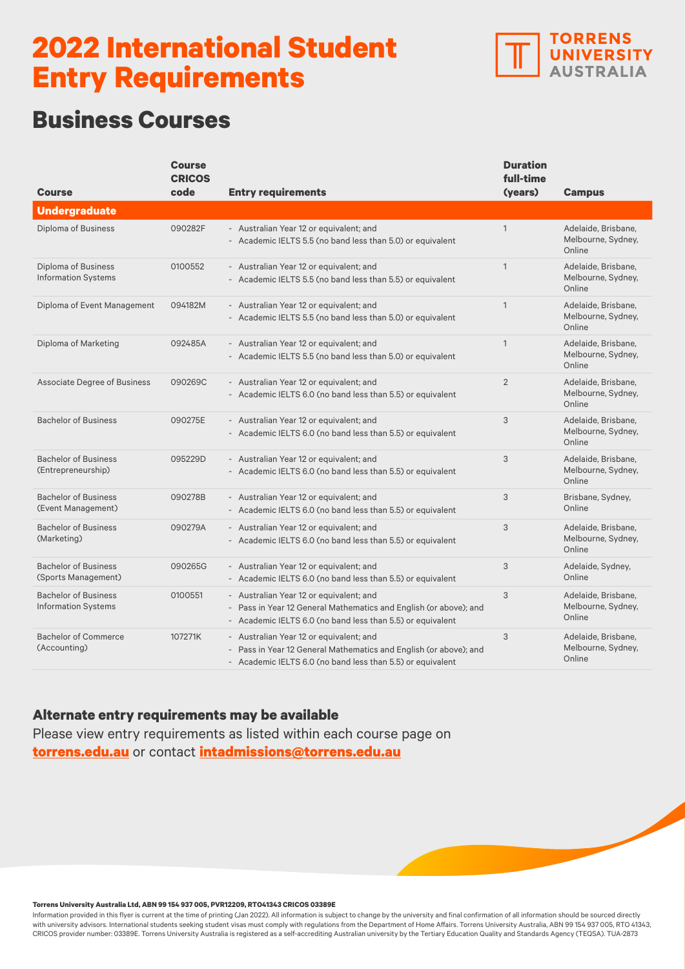

## **Business Courses**

| <b>Course</b>                                             | <b>Course</b><br><b>CRICOS</b><br>code | <b>Entry requirements</b>                                                                                                                                                  | <b>Duration</b><br>full-time<br>(years) | <b>Campus</b>                                       |
|-----------------------------------------------------------|----------------------------------------|----------------------------------------------------------------------------------------------------------------------------------------------------------------------------|-----------------------------------------|-----------------------------------------------------|
| <b>Undergraduate</b>                                      |                                        |                                                                                                                                                                            |                                         |                                                     |
| Diploma of Business                                       | 090282F                                | - Australian Year 12 or equivalent; and<br>- Academic IELTS 5.5 (no band less than 5.0) or equivalent                                                                      | $\mathbf{1}$                            | Adelaide, Brisbane,<br>Melbourne, Sydney,<br>Online |
| Diploma of Business<br><b>Information Systems</b>         | 0100552                                | - Australian Year 12 or equivalent; and<br>- Academic IELTS 5.5 (no band less than 5.5) or equivalent                                                                      | $\mathbf{1}$                            | Adelaide, Brisbane,<br>Melbourne, Sydney,<br>Online |
| Diploma of Event Management                               | 094182M                                | - Australian Year 12 or equivalent; and<br>- Academic IELTS 5.5 (no band less than 5.0) or equivalent                                                                      | $\mathbf{1}$                            | Adelaide, Brisbane,<br>Melbourne, Sydney,<br>Online |
| Diploma of Marketing                                      | 092485A                                | - Australian Year 12 or equivalent; and<br>- Academic IELTS 5.5 (no band less than 5.0) or equivalent                                                                      | $\mathbf{1}$                            | Adelaide, Brisbane,<br>Melbourne, Sydney,<br>Online |
| <b>Associate Degree of Business</b>                       | 090269C                                | - Australian Year 12 or equivalent; and<br>- Academic IELTS 6.0 (no band less than 5.5) or equivalent                                                                      | $\overline{2}$                          | Adelaide, Brisbane,<br>Melbourne, Sydney,<br>Online |
| <b>Bachelor of Business</b>                               | 090275E                                | - Australian Year 12 or equivalent; and<br>- Academic IELTS 6.0 (no band less than 5.5) or equivalent                                                                      | 3                                       | Adelaide, Brisbane,<br>Melbourne, Sydney,<br>Online |
| <b>Bachelor of Business</b><br>(Entrepreneurship)         | 095229D                                | - Australian Year 12 or equivalent; and<br>- Academic IELTS 6.0 (no band less than 5.5) or equivalent                                                                      | 3                                       | Adelaide, Brisbane,<br>Melbourne, Sydney,<br>Online |
| <b>Bachelor of Business</b><br>(Event Management)         | 090278B                                | - Australian Year 12 or equivalent; and<br>- Academic IELTS 6.0 (no band less than 5.5) or equivalent                                                                      | 3                                       | Brisbane, Sydney,<br>Online                         |
| <b>Bachelor of Business</b><br>(Marketing)                | 090279A                                | - Australian Year 12 or equivalent; and<br>- Academic IELTS 6.0 (no band less than 5.5) or equivalent                                                                      | 3                                       | Adelaide, Brisbane,<br>Melbourne, Sydney,<br>Online |
| <b>Bachelor of Business</b><br>(Sports Management)        | 090265G                                | - Australian Year 12 or equivalent; and<br>- Academic IELTS 6.0 (no band less than 5.5) or equivalent                                                                      | 3                                       | Adelaide, Sydney,<br>Online                         |
| <b>Bachelor of Business</b><br><b>Information Systems</b> | 0100551                                | - Australian Year 12 or equivalent; and<br>- Pass in Year 12 General Mathematics and English (or above); and<br>- Academic IELTS 6.0 (no band less than 5.5) or equivalent | 3                                       | Adelaide, Brisbane,<br>Melbourne, Sydney,<br>Online |
| <b>Bachelor of Commerce</b><br>(Accounting)               | 107271K                                | - Australian Year 12 or equivalent; and<br>- Pass in Year 12 General Mathematics and English (or above); and<br>- Academic IELTS 6.0 (no band less than 5.5) or equivalent | 3                                       | Adelaide, Brisbane,<br>Melbourne, Sydney,<br>Online |

### **Alternate entry requirements may be available**

Please view entry requirements as listed within each course page on **[torrens.edu.au](https://www.torrens.edu.au/)** or contact **[intadmissions@torrens.edu.au](mailto:intadmissions%40torrens.edu.au?subject=)**

#### **Torrens University Australia Ltd, ABN 99 154 937 005, PVR12209, RTO41343 CRICOS 03389E**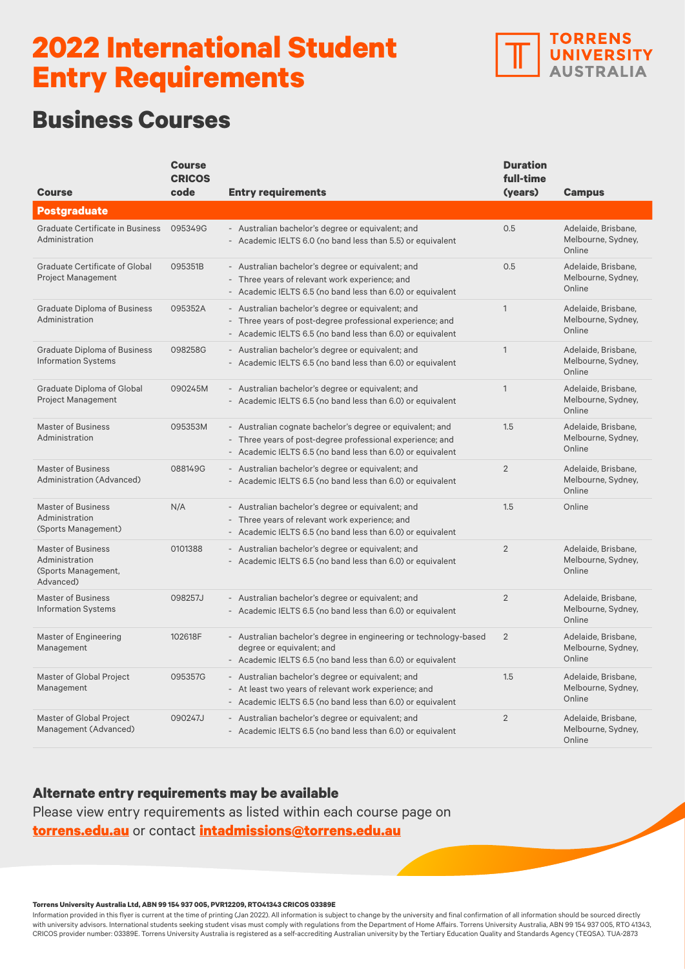

## **Business Courses**

|                                                                                 | <b>Course</b><br><b>CRICOS</b> |                                                                                                                                                                                      | <b>Duration</b><br>full-time |                                                     |
|---------------------------------------------------------------------------------|--------------------------------|--------------------------------------------------------------------------------------------------------------------------------------------------------------------------------------|------------------------------|-----------------------------------------------------|
| Course                                                                          | code                           | <b>Entry requirements</b>                                                                                                                                                            | (years)                      | <b>Campus</b>                                       |
| <b>Postgraduate</b>                                                             |                                |                                                                                                                                                                                      |                              |                                                     |
| Graduate Certificate in Business<br>Administration                              | 095349G                        | - Australian bachelor's degree or equivalent; and<br>- Academic IELTS 6.0 (no band less than 5.5) or equivalent                                                                      | 0.5                          | Adelaide, Brisbane,<br>Melbourne, Sydney,<br>Online |
| <b>Graduate Certificate of Global</b><br><b>Project Management</b>              | 095351B                        | - Australian bachelor's degree or equivalent; and<br>- Three years of relevant work experience; and<br>- Academic IELTS 6.5 (no band less than 6.0) or equivalent                    | 0.5                          | Adelaide, Brisbane,<br>Melbourne, Sydney,<br>Online |
| <b>Graduate Diploma of Business</b><br>Administration                           | 095352A                        | - Australian bachelor's degree or equivalent; and<br>Three years of post-degree professional experience; and<br>- Academic IELTS 6.5 (no band less than 6.0) or equivalent           | $\mathbf{1}$                 | Adelaide, Brisbane,<br>Melbourne, Sydney,<br>Online |
| <b>Graduate Diploma of Business</b><br><b>Information Systems</b>               | 098258G                        | - Australian bachelor's degree or equivalent; and<br>- Academic IELTS 6.5 (no band less than 6.0) or equivalent                                                                      | $\mathbf{1}$                 | Adelaide, Brisbane.<br>Melbourne, Sydney,<br>Online |
| <b>Graduate Diploma of Global</b><br><b>Project Management</b>                  | 090245M                        | - Australian bachelor's degree or equivalent; and<br>- Academic IELTS 6.5 (no band less than 6.0) or equivalent                                                                      | $\mathbf{1}$                 | Adelaide, Brisbane,<br>Melbourne, Sydney,<br>Online |
| <b>Master of Business</b><br>Administration                                     | 095353M                        | - Australian cognate bachelor's degree or equivalent; and<br>- Three years of post-degree professional experience; and<br>- Academic IELTS 6.5 (no band less than 6.0) or equivalent | 1.5                          | Adelaide, Brisbane.<br>Melbourne, Sydney,<br>Online |
| <b>Master of Business</b><br>Administration (Advanced)                          | 088149G                        | - Australian bachelor's degree or equivalent; and<br>- Academic IELTS 6.5 (no band less than 6.0) or equivalent                                                                      | $\overline{2}$               | Adelaide, Brisbane,<br>Melbourne, Sydney,<br>Online |
| <b>Master of Business</b><br>Administration<br>(Sports Management)              | N/A                            | - Australian bachelor's degree or equivalent; and<br>- Three years of relevant work experience; and<br>- Academic IELTS 6.5 (no band less than 6.0) or equivalent                    | 1.5                          | Online                                              |
| <b>Master of Business</b><br>Administration<br>(Sports Management,<br>Advanced) | 0101388                        | - Australian bachelor's degree or equivalent; and<br>- Academic IELTS 6.5 (no band less than 6.0) or equivalent                                                                      | $\overline{2}$               | Adelaide, Brisbane,<br>Melbourne, Sydney,<br>Online |
| <b>Master of Business</b><br><b>Information Systems</b>                         | 098257J                        | - Australian bachelor's degree or equivalent; and<br>- Academic IELTS 6.5 (no band less than 6.0) or equivalent                                                                      | $\overline{2}$               | Adelaide, Brisbane,<br>Melbourne, Sydney,<br>Online |
| Master of Engineering<br>Management                                             | 102618F                        | - Australian bachelor's degree in engineering or technology-based<br>degree or equivalent; and<br>Academic IELTS 6.5 (no band less than 6.0) or equivalent                           | $\overline{2}$               | Adelaide, Brisbane,<br>Melbourne, Sydney,<br>Online |
| Master of Global Project<br>Management                                          | 095357G                        | - Australian bachelor's degree or equivalent; and<br>- At least two years of relevant work experience; and<br>- Academic IELTS 6.5 (no band less than 6.0) or equivalent             | 1.5                          | Adelaide, Brisbane,<br>Melbourne, Sydney,<br>Online |
| Master of Global Project<br>Management (Advanced)                               | 090247J                        | - Australian bachelor's degree or equivalent; and<br>- Academic IELTS 6.5 (no band less than 6.0) or equivalent                                                                      | $\overline{2}$               | Adelaide, Brisbane,<br>Melbourne, Sydney,<br>Online |

### **Alternate entry requirements may be available**

Please view entry requirements as listed within each course page on **[torrens.edu.au](https://www.torrens.edu.au/)** or contact **[intadmissions@torrens.edu.au](mailto:intadmissions%40torrens.edu.au?subject=)**

#### **Torrens University Australia Ltd, ABN 99 154 937 005, PVR12209, RTO41343 CRICOS 03389E**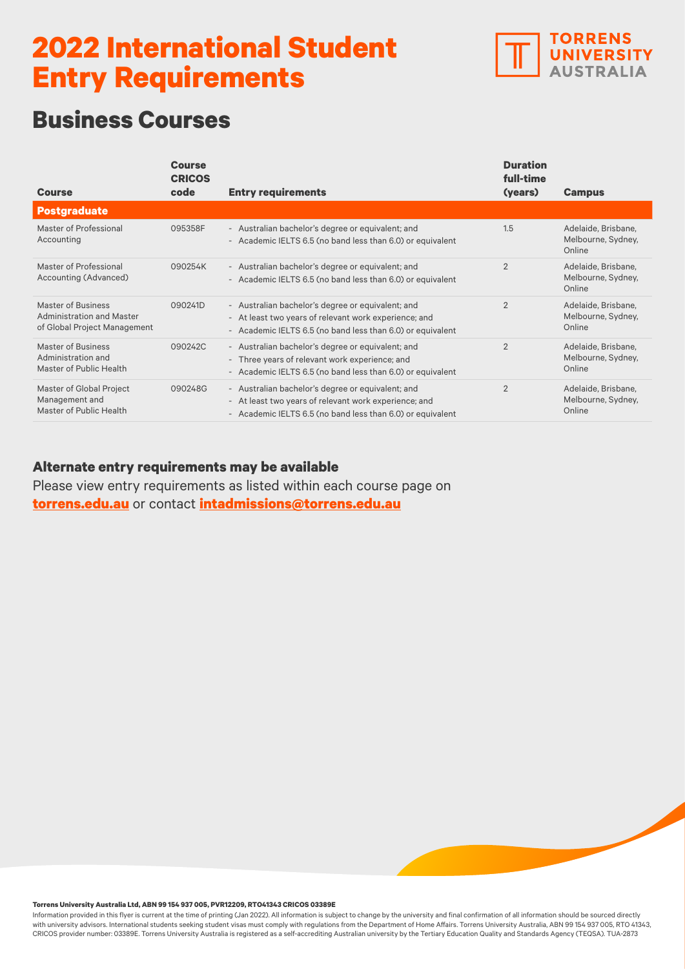

# **Business Courses**

| <b>Course</b>                                                                   | <b>Course</b><br><b>CRICOS</b><br>code | <b>Entry requirements</b>                                                                                                                                                | <b>Duration</b><br>full-time<br>(years) | <b>Campus</b>                                       |
|---------------------------------------------------------------------------------|----------------------------------------|--------------------------------------------------------------------------------------------------------------------------------------------------------------------------|-----------------------------------------|-----------------------------------------------------|
| <b>Postgraduate</b>                                                             |                                        |                                                                                                                                                                          |                                         |                                                     |
| Master of Professional<br>Accounting                                            | 095358F                                | - Australian bachelor's degree or equivalent; and<br>- Academic IELTS 6.5 (no band less than 6.0) or equivalent                                                          | 1.5                                     | Adelaide, Brisbane,<br>Melbourne, Sydney,<br>Online |
| Master of Professional<br>Accounting (Advanced)                                 | 090254K                                | - Australian bachelor's degree or equivalent; and<br>- Academic IELTS 6.5 (no band less than 6.0) or equivalent                                                          | $\overline{2}$                          | Adelaide, Brisbane,<br>Melbourne, Sydney,<br>Online |
| Master of Business<br>Administration and Master<br>of Global Project Management | 090241D                                | - Australian bachelor's degree or equivalent; and<br>- At least two years of relevant work experience; and<br>- Academic IELTS 6.5 (no band less than 6.0) or equivalent | $\overline{2}$                          | Adelaide, Brisbane,<br>Melbourne, Sydney,<br>Online |
| Master of Business<br>Administration and<br>Master of Public Health             | 090242C                                | - Australian bachelor's degree or equivalent; and<br>- Three years of relevant work experience; and<br>- Academic IELTS 6.5 (no band less than 6.0) or equivalent        | $\overline{2}$                          | Adelaide, Brisbane,<br>Melbourne, Sydney,<br>Online |
| Master of Global Project<br>Management and<br>Master of Public Health           | 090248G                                | - Australian bachelor's degree or equivalent; and<br>- At least two years of relevant work experience; and<br>- Academic IELTS 6.5 (no band less than 6.0) or equivalent | $\overline{2}$                          | Adelaide, Brisbane,<br>Melbourne, Sydney,<br>Online |

### **Alternate entry requirements may be available**

Please view entry requirements as listed within each course page on **[torrens.edu.au](https://www.torrens.edu.au/)** or contact **[intadmissions@torrens.edu.au](mailto:intadmissions%40torrens.edu.au?subject=)**

#### **Torrens University Australia Ltd, ABN 99 154 937 005, PVR12209, RTO41343 CRICOS 03389E**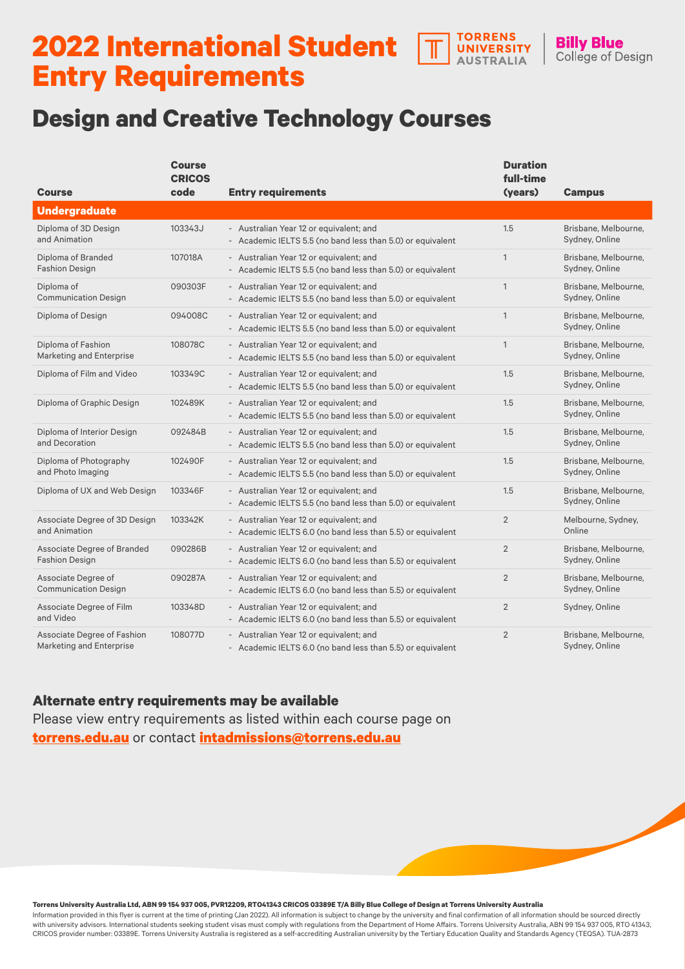#### **TORRENS 2022 International Student**  UNIVERSITY **AUSTRALIA Entry Requirements**

## **Design and Creative Technology Courses**

| <b>Course</b>                                                  | <b>Course</b><br><b>CRICOS</b><br>code | <b>Entry requirements</b>                                                                             | <b>Duration</b><br>full-time<br>(years) | <b>Campus</b>                          |
|----------------------------------------------------------------|----------------------------------------|-------------------------------------------------------------------------------------------------------|-----------------------------------------|----------------------------------------|
| <b>Undergraduate</b>                                           |                                        |                                                                                                       |                                         |                                        |
| Diploma of 3D Design<br>and Animation                          | 103343J                                | - Australian Year 12 or equivalent; and<br>- Academic IELTS 5.5 (no band less than 5.0) or equivalent | 1.5                                     | Brisbane, Melbourne,<br>Sydney, Online |
| Diploma of Branded<br><b>Fashion Design</b>                    | 107018A                                | - Australian Year 12 or equivalent; and<br>- Academic IELTS 5.5 (no band less than 5.0) or equivalent | $\mathbf{1}$                            | Brisbane, Melbourne,<br>Sydney, Online |
| Diploma of<br><b>Communication Design</b>                      | 090303F                                | - Australian Year 12 or equivalent; and<br>- Academic IELTS 5.5 (no band less than 5.0) or equivalent | $\mathbf{1}$                            | Brisbane, Melbourne,<br>Sydney, Online |
| Diploma of Design                                              | 094008C                                | - Australian Year 12 or equivalent; and<br>- Academic IELTS 5.5 (no band less than 5.0) or equivalent | $\mathbf{1}$                            | Brisbane, Melbourne,<br>Sydney, Online |
| Diploma of Fashion<br>Marketing and Enterprise                 | 108078C                                | - Australian Year 12 or equivalent; and<br>- Academic IELTS 5.5 (no band less than 5.0) or equivalent | $\mathbf{1}$                            | Brisbane, Melbourne,<br>Sydney, Online |
| Diploma of Film and Video                                      | 103349C                                | - Australian Year 12 or equivalent; and<br>- Academic IELTS 5.5 (no band less than 5.0) or equivalent | 1.5                                     | Brisbane, Melbourne.<br>Sydney, Online |
| Diploma of Graphic Design                                      | 102489K                                | - Australian Year 12 or equivalent; and<br>- Academic IELTS 5.5 (no band less than 5.0) or equivalent | 1.5                                     | Brisbane, Melbourne,<br>Sydney, Online |
| Diploma of Interior Design<br>and Decoration                   | 092484B                                | - Australian Year 12 or equivalent; and<br>- Academic IELTS 5.5 (no band less than 5.0) or equivalent | 1.5                                     | Brisbane, Melbourne,<br>Sydney, Online |
| Diploma of Photography<br>and Photo Imaging                    | 102490F                                | - Australian Year 12 or equivalent; and<br>- Academic IELTS 5.5 (no band less than 5.0) or equivalent | 1.5                                     | Brisbane, Melbourne,<br>Sydney, Online |
| Diploma of UX and Web Design                                   | 103346F                                | - Australian Year 12 or equivalent; and<br>- Academic IELTS 5.5 (no band less than 5.0) or equivalent | 1.5                                     | Brisbane, Melbourne,<br>Sydney, Online |
| Associate Degree of 3D Design<br>and Animation                 | 103342K                                | - Australian Year 12 or equivalent; and<br>- Academic IELTS 6.0 (no band less than 5.5) or equivalent | $\overline{2}$                          | Melbourne, Sydney,<br>Online           |
| Associate Degree of Branded<br><b>Fashion Design</b>           | 090286B                                | - Australian Year 12 or equivalent; and<br>- Academic IELTS 6.0 (no band less than 5.5) or equivalent | $\overline{2}$                          | Brisbane, Melbourne,<br>Sydney, Online |
| Associate Degree of<br><b>Communication Design</b>             | 090287A                                | - Australian Year 12 or equivalent; and<br>- Academic IELTS 6.0 (no band less than 5.5) or equivalent | $\overline{2}$                          | Brisbane, Melbourne,<br>Sydney, Online |
| Associate Degree of Film<br>and Video                          | 103348D                                | - Australian Year 12 or equivalent; and<br>- Academic IELTS 6.0 (no band less than 5.5) or equivalent | $\overline{2}$                          | Sydney, Online                         |
| Associate Degree of Fashion<br><b>Marketing and Enterprise</b> | 108077D                                | - Australian Year 12 or equivalent; and<br>- Academic IELTS 6.0 (no band less than 5.5) or equivalent | $\overline{2}$                          | Brisbane, Melbourne,<br>Sydney, Online |

**Billy Blue** 

College of Design

### **Alternate entry requirements may be available**

Please view entry requirements as listed within each course page on **[torrens.edu.au](https://www.torrens.edu.au/)** or contact **[intadmissions@torrens.edu.au](mailto:intadmissions%40torrens.edu.au?subject=)**

#### **Torrens University Australia Ltd, ABN 99 154 937 005, PVR12209, RTO41343 CRICOS 03389E T/A Billy Blue College of Design at Torrens University Australia**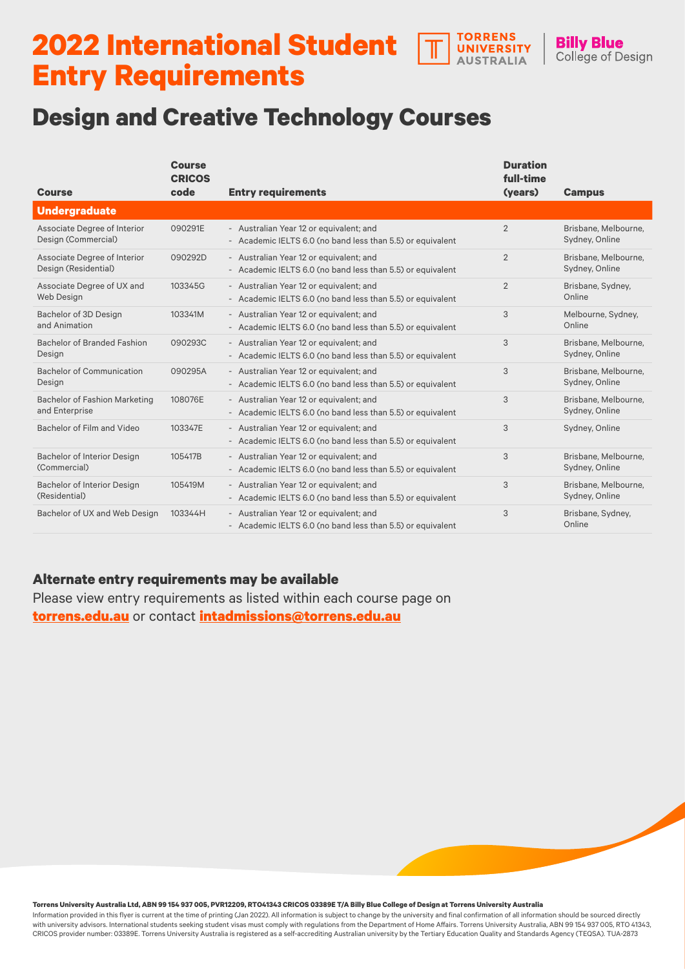#### **2022 International Student TORRENS UNIVERSITY AUSTRALIA Entry Requirements**

## **Design and Creative Technology Courses**

| <b>Course</b>                                          | <b>Course</b><br><b>CRICOS</b><br>code | <b>Entry requirements</b>                                                                             | <b>Duration</b><br>full-time<br>(years) | <b>Campus</b>                          |
|--------------------------------------------------------|----------------------------------------|-------------------------------------------------------------------------------------------------------|-----------------------------------------|----------------------------------------|
| <b>Undergraduate</b>                                   |                                        |                                                                                                       |                                         |                                        |
| Associate Degree of Interior<br>Design (Commercial)    | 090291E                                | - Australian Year 12 or equivalent; and<br>- Academic IELTS 6.0 (no band less than 5.5) or equivalent | $\overline{2}$                          | Brisbane, Melbourne,<br>Sydney, Online |
| Associate Degree of Interior<br>Design (Residential)   | 090292D                                | - Australian Year 12 or equivalent; and<br>- Academic IELTS 6.0 (no band less than 5.5) or equivalent | $\overline{2}$                          | Brisbane, Melbourne,<br>Sydney, Online |
| Associate Degree of UX and<br>Web Design               | 103345G                                | - Australian Year 12 or equivalent; and<br>- Academic IELTS 6.0 (no band less than 5.5) or equivalent | $\overline{2}$                          | Brisbane, Sydney,<br>Online            |
| Bachelor of 3D Design<br>and Animation                 | 103341M                                | - Australian Year 12 or equivalent; and<br>- Academic IELTS 6.0 (no band less than 5.5) or equivalent | 3                                       | Melbourne, Sydney,<br>Online           |
| <b>Bachelor of Branded Fashion</b><br>Design           | 090293C                                | - Australian Year 12 or equivalent; and<br>- Academic IELTS 6.0 (no band less than 5.5) or equivalent | 3                                       | Brisbane, Melbourne,<br>Sydney, Online |
| <b>Bachelor of Communication</b><br>Design             | 090295A                                | - Australian Year 12 or equivalent; and<br>- Academic IELTS 6.0 (no band less than 5.5) or equivalent | 3                                       | Brisbane, Melbourne,<br>Sydney, Online |
| <b>Bachelor of Fashion Marketing</b><br>and Enterprise | 108076E                                | - Australian Year 12 or equivalent; and<br>- Academic IELTS 6.0 (no band less than 5.5) or equivalent | 3                                       | Brisbane, Melbourne,<br>Sydney, Online |
| Bachelor of Film and Video                             | 103347E                                | - Australian Year 12 or equivalent; and<br>- Academic IELTS 6.0 (no band less than 5.5) or equivalent | 3                                       | Sydney, Online                         |
| <b>Bachelor of Interior Design</b><br>(Commercial)     | 105417B                                | - Australian Year 12 or equivalent; and<br>- Academic IELTS 6.0 (no band less than 5.5) or equivalent | 3                                       | Brisbane, Melbourne,<br>Sydney, Online |
| Bachelor of Interior Design<br>(Residential)           | 105419M                                | - Australian Year 12 or equivalent; and<br>- Academic IELTS 6.0 (no band less than 5.5) or equivalent | 3                                       | Brisbane, Melbourne,<br>Sydney, Online |
| Bachelor of UX and Web Design                          | 103344H                                | - Australian Year 12 or equivalent; and<br>- Academic IELTS 6.0 (no band less than 5.5) or equivalent | 3                                       | Brisbane, Sydney,<br>Online            |

**Billy Blue** 

College of Design

### **Alternate entry requirements may be available**

Please view entry requirements as listed within each course page on **[torrens.edu.au](https://www.torrens.edu.au/)** or contact **[intadmissions@torrens.edu.au](mailto:intadmissions%40torrens.edu.au?subject=)**

**Torrens University Australia Ltd, ABN 99 154 937 005, PVR12209, RTO41343 CRICOS 03389E T/A Billy Blue College of Design at Torrens University Australia**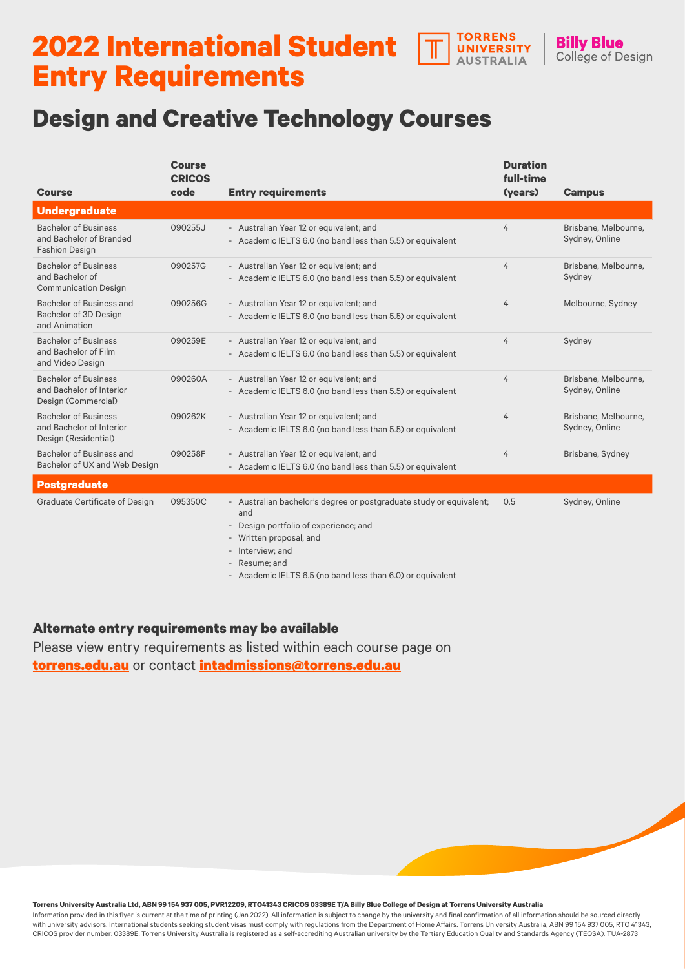#### **TORRENS 2022 International Student**  UNIVERSITY **AUSTRALIA Entry Requirements**

## **Design and Creative Technology Courses**

| <b>Course</b>                                                                   | <b>Course</b><br><b>CRICOS</b><br>code | <b>Entry requirements</b>                                                                                                                                                                                                                         | <b>Duration</b><br>full-time<br>(years) | <b>Campus</b>                          |
|---------------------------------------------------------------------------------|----------------------------------------|---------------------------------------------------------------------------------------------------------------------------------------------------------------------------------------------------------------------------------------------------|-----------------------------------------|----------------------------------------|
| <b>Undergraduate</b>                                                            |                                        |                                                                                                                                                                                                                                                   |                                         |                                        |
| <b>Bachelor of Business</b><br>and Bachelor of Branded<br><b>Fashion Design</b> | 090255J                                | - Australian Year 12 or equivalent; and<br>- Academic IELTS 6.0 (no band less than 5.5) or equivalent                                                                                                                                             | 4                                       | Brisbane, Melbourne,<br>Sydney, Online |
| <b>Bachelor of Business</b><br>and Bachelor of<br><b>Communication Design</b>   | 090257G                                | - Australian Year 12 or equivalent; and<br>- Academic IELTS 6.0 (no band less than 5.5) or equivalent                                                                                                                                             | 4                                       | Brisbane, Melbourne,<br>Sydney         |
| Bachelor of Business and<br>Bachelor of 3D Design<br>and Animation              | 090256G                                | - Australian Year 12 or equivalent; and<br>- Academic IELTS 6.0 (no band less than 5.5) or equivalent                                                                                                                                             | 4                                       | Melbourne, Sydney                      |
| <b>Bachelor of Business</b><br>and Bachelor of Film<br>and Video Design         | 090259E                                | - Australian Year 12 or equivalent; and<br>- Academic IELTS 6.0 (no band less than 5.5) or equivalent                                                                                                                                             | 4                                       | Sydney                                 |
| <b>Bachelor of Business</b><br>and Bachelor of Interior<br>Design (Commercial)  | 090260A                                | - Australian Year 12 or equivalent; and<br>- Academic IELTS 6.0 (no band less than 5.5) or equivalent                                                                                                                                             | 4                                       | Brisbane, Melbourne,<br>Sydney, Online |
| <b>Bachelor of Business</b><br>and Bachelor of Interior<br>Design (Residential) | 090262K                                | - Australian Year 12 or equivalent; and<br>- Academic IELTS 6.0 (no band less than 5.5) or equivalent                                                                                                                                             | 4                                       | Brisbane, Melbourne,<br>Sydney, Online |
| Bachelor of Business and<br>Bachelor of UX and Web Design                       | 090258F                                | - Australian Year 12 or equivalent; and<br>- Academic IELTS 6.0 (no band less than 5.5) or equivalent                                                                                                                                             | 4                                       | Brisbane, Sydney                       |
| <b>Postgraduate</b>                                                             |                                        |                                                                                                                                                                                                                                                   |                                         |                                        |
| Graduate Certificate of Design                                                  | 095350C                                | - Australian bachelor's degree or postgraduate study or equivalent;<br>and<br>- Design portfolio of experience; and<br>- Written proposal; and<br>- Interview; and<br>- Resume; and<br>- Academic IELTS 6.5 (no band less than 6.0) or equivalent | 0.5                                     | Sydney, Online                         |

**Billy Blue** 

College of Design

#### **Alternate entry requirements may be available**

Please view entry requirements as listed within each course page on **[torrens.edu.au](https://www.torrens.edu.au/)** or contact **[intadmissions@torrens.edu.au](mailto:intadmissions%40torrens.edu.au?subject=)**

#### **Torrens University Australia Ltd, ABN 99 154 937 005, PVR12209, RTO41343 CRICOS 03389E T/A Billy Blue College of Design at Torrens University Australia**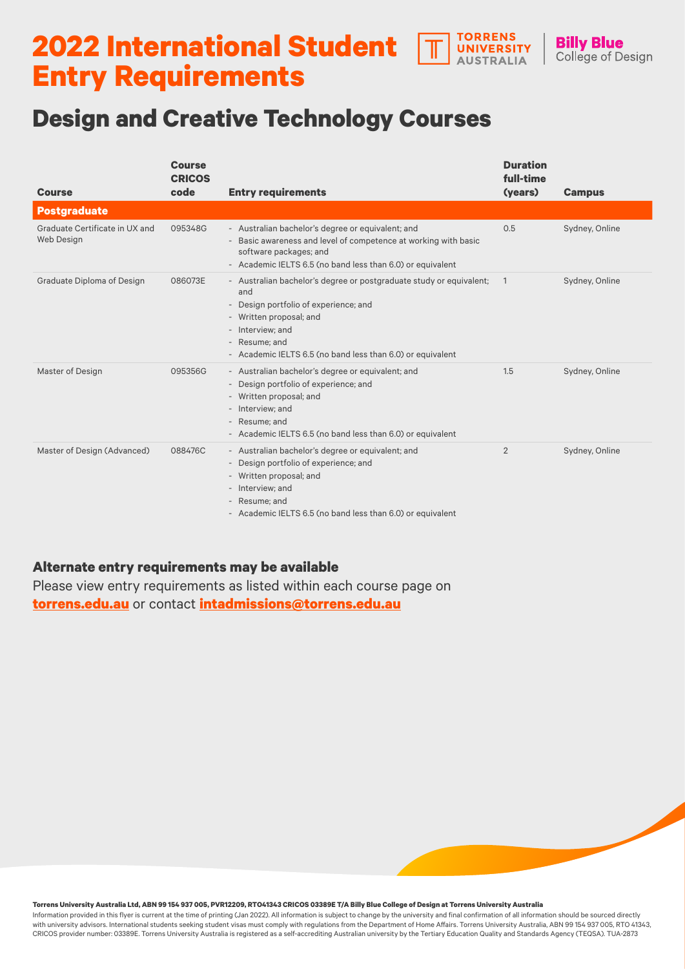#### **TORRENS 2022 International Student UNIVERSITY AUSTRALIA Entry Requirements**

# **Design and Creative Technology Courses**

| <b>Course</b>                                | <b>Course</b><br><b>CRICOS</b><br>code | <b>Entry requirements</b>                                                                                                                                                                                                                         | <b>Duration</b><br>full-time<br>(years) | <b>Campus</b>  |
|----------------------------------------------|----------------------------------------|---------------------------------------------------------------------------------------------------------------------------------------------------------------------------------------------------------------------------------------------------|-----------------------------------------|----------------|
| <b>Postgraduate</b>                          |                                        |                                                                                                                                                                                                                                                   |                                         |                |
| Graduate Certificate in UX and<br>Web Design | 095348G                                | - Australian bachelor's degree or equivalent; and<br>- Basic awareness and level of competence at working with basic<br>software packages; and<br>- Academic IELTS 6.5 (no band less than 6.0) or equivalent                                      | 0.5                                     | Sydney, Online |
| Graduate Diploma of Design                   | 086073E                                | - Australian bachelor's degree or postgraduate study or equivalent;<br>and<br>- Design portfolio of experience; and<br>- Written proposal; and<br>- Interview; and<br>- Resume; and<br>- Academic IELTS 6.5 (no band less than 6.0) or equivalent | $\overline{1}$                          | Sydney, Online |
| Master of Design                             | 095356G                                | - Australian bachelor's degree or equivalent; and<br>- Design portfolio of experience; and<br>- Written proposal; and<br>- Interview; and<br>- Resume; and<br>- Academic IELTS 6.5 (no band less than 6.0) or equivalent                          | 1.5                                     | Sydney, Online |
| Master of Design (Advanced)                  | 088476C                                | - Australian bachelor's degree or equivalent; and<br>- Design portfolio of experience; and<br>- Written proposal; and<br>- Interview; and<br>- Resume; and<br>- Academic IELTS 6.5 (no band less than 6.0) or equivalent                          | $\overline{2}$                          | Sydney, Online |

**Billy Blue** 

College of Design

### **Alternate entry requirements may be available**

Please view entry requirements as listed within each course page on **[torrens.edu.au](https://www.torrens.edu.au/)** or contact **[intadmissions@torrens.edu.au](mailto:intadmissions%40torrens.edu.au?subject=)**

**Torrens University Australia Ltd, ABN 99 154 937 005, PVR12209, RTO41343 CRICOS 03389E T/A Billy Blue College of Design at Torrens University Australia**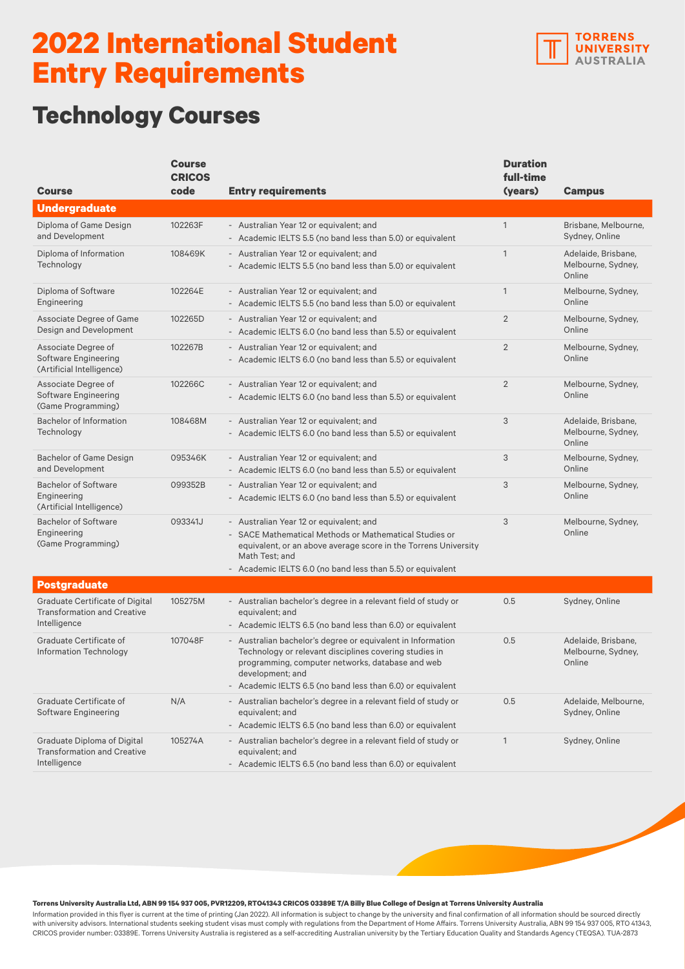

## **Technology Courses**

|                                                                                              | <b>Course</b><br><b>CRICOS</b> |                                                                                                                                                                                                                                                             | <b>Duration</b><br>full-time |                                                     |
|----------------------------------------------------------------------------------------------|--------------------------------|-------------------------------------------------------------------------------------------------------------------------------------------------------------------------------------------------------------------------------------------------------------|------------------------------|-----------------------------------------------------|
| <b>Course</b>                                                                                | code                           | <b>Entry requirements</b>                                                                                                                                                                                                                                   | (years)                      | <b>Campus</b>                                       |
| <b>Undergraduate</b>                                                                         |                                |                                                                                                                                                                                                                                                             |                              |                                                     |
| Diploma of Game Design<br>and Development                                                    | 102263F                        | - Australian Year 12 or equivalent; and<br>- Academic IELTS 5.5 (no band less than 5.0) or equivalent                                                                                                                                                       | $\mathbf{1}$                 | Brisbane, Melbourne.<br>Sydney, Online              |
| Diploma of Information<br>Technology                                                         | 108469K                        | - Australian Year 12 or equivalent; and<br>- Academic IELTS 5.5 (no band less than 5.0) or equivalent                                                                                                                                                       | $\mathbf{1}$                 | Adelaide, Brisbane,<br>Melbourne, Sydney,<br>Online |
| Diploma of Software<br>Engineering                                                           | 102264E                        | - Australian Year 12 or equivalent; and<br>- Academic IELTS 5.5 (no band less than 5.0) or equivalent                                                                                                                                                       | $\mathbf{1}$                 | Melbourne, Sydney,<br>Online                        |
| Associate Degree of Game<br>Design and Development                                           | 102265D                        | - Australian Year 12 or equivalent; and<br>- Academic IELTS 6.0 (no band less than 5.5) or equivalent                                                                                                                                                       | $\overline{2}$               | Melbourne, Sydney,<br>Online                        |
| Associate Degree of<br>Software Engineering<br>(Artificial Intelligence)                     | 102267B                        | - Australian Year 12 or equivalent; and<br>- Academic IELTS 6.0 (no band less than 5.5) or equivalent                                                                                                                                                       | $\overline{2}$               | Melbourne, Sydney,<br>Online                        |
| Associate Degree of<br>Software Engineering<br>(Game Programming)                            | 102266C                        | - Australian Year 12 or equivalent; and<br>- Academic IELTS 6.0 (no band less than 5.5) or equivalent                                                                                                                                                       | $\overline{2}$               | Melbourne, Sydney,<br>Online                        |
| <b>Bachelor of Information</b><br>Technology                                                 | 108468M                        | - Australian Year 12 or equivalent; and<br>- Academic IELTS 6.0 (no band less than 5.5) or equivalent                                                                                                                                                       | 3                            | Adelaide, Brisbane,<br>Melbourne, Sydney,<br>Online |
| <b>Bachelor of Game Design</b><br>and Development                                            | 095346K                        | - Australian Year 12 or equivalent; and<br>- Academic IELTS 6.0 (no band less than 5.5) or equivalent                                                                                                                                                       | 3                            | Melbourne, Sydney,<br>Online                        |
| <b>Bachelor of Software</b><br>Engineering<br>(Artificial Intelligence)                      | 099352B                        | - Australian Year 12 or equivalent; and<br>- Academic IELTS 6.0 (no band less than 5.5) or equivalent                                                                                                                                                       | 3                            | Melbourne, Sydney,<br>Online                        |
| <b>Bachelor of Software</b><br>Engineering<br>(Game Programming)                             | 093341J                        | - Australian Year 12 or equivalent; and<br>- SACE Mathematical Methods or Mathematical Studies or<br>equivalent, or an above average score in the Torrens University<br>Math Test; and<br>- Academic IELTS 6.0 (no band less than 5.5) or equivalent        | 3                            | Melbourne, Sydney,<br>Online                        |
| <b>Postgraduate</b>                                                                          |                                |                                                                                                                                                                                                                                                             |                              |                                                     |
| <b>Graduate Certificate of Digital</b><br><b>Transformation and Creative</b><br>Intelligence | 105275M                        | - Australian bachelor's degree in a relevant field of study or<br>equivalent; and<br>- Academic IELTS 6.5 (no band less than 6.0) or equivalent                                                                                                             | 0.5                          | Sydney, Online                                      |
| Graduate Certificate of<br>Information Technology                                            | 107048F                        | - Australian bachelor's degree or equivalent in Information<br>Technology or relevant disciplines covering studies in<br>programming, computer networks, database and web<br>development; and<br>- Academic IELTS 6.5 (no band less than 6.0) or equivalent | 0.5                          | Adelaide, Brisbane,<br>Melbourne, Sydney,<br>Online |
| Graduate Certificate of<br>Software Engineering                                              | N/A                            | - Australian bachelor's degree in a relevant field of study or<br>equivalent; and<br>- Academic IELTS 6.5 (no band less than 6.0) or equivalent                                                                                                             | 0.5                          | Adelaide, Melbourne,<br>Sydney, Online              |
| Graduate Diploma of Digital<br><b>Transformation and Creative</b><br>Intelligence            | 105274A                        | - Australian bachelor's degree in a relevant field of study or<br>equivalent; and<br>- Academic IELTS 6.5 (no band less than 6.0) or equivalent                                                                                                             | $\mathbf{1}$                 | Sydney, Online                                      |

**Torrens University Australia Ltd, ABN 99 154 937 005, PVR12209, RTO41343 CRICOS 03389E T/A Billy Blue College of Design at Torrens University Australia**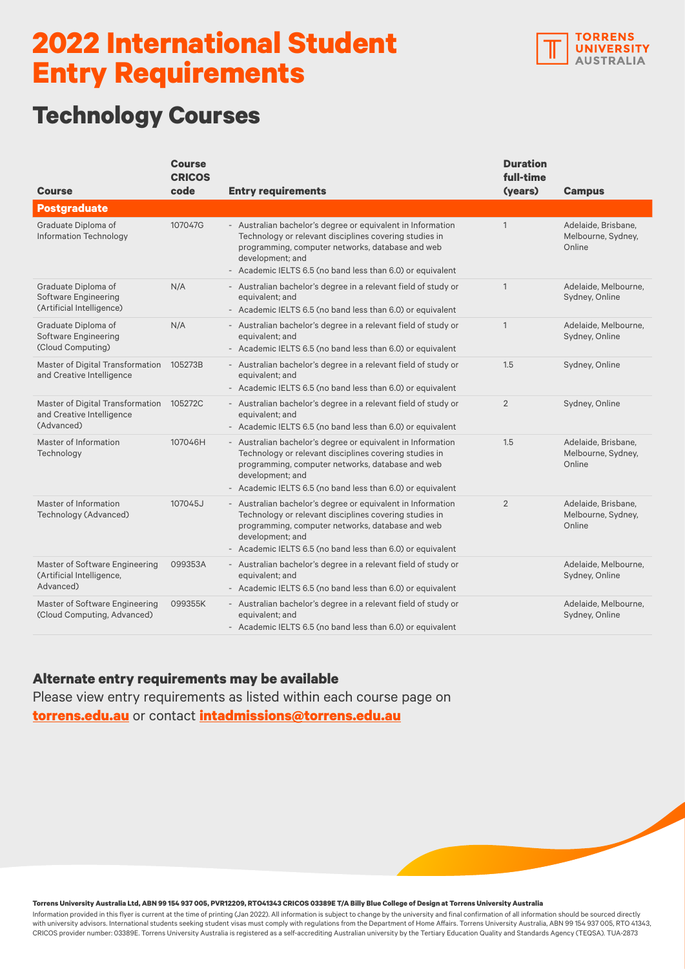

## **Technology Courses**

| <b>Course</b>                                                               | <b>Course</b><br><b>CRICOS</b><br>code | <b>Entry requirements</b>                                                                                                                                                                                                                                   | <b>Duration</b><br>full-time<br>(years) | <b>Campus</b>                                       |
|-----------------------------------------------------------------------------|----------------------------------------|-------------------------------------------------------------------------------------------------------------------------------------------------------------------------------------------------------------------------------------------------------------|-----------------------------------------|-----------------------------------------------------|
| <b>Postgraduate</b>                                                         |                                        |                                                                                                                                                                                                                                                             |                                         |                                                     |
| Graduate Diploma of<br><b>Information Technology</b>                        | 107047G                                | - Australian bachelor's degree or equivalent in Information<br>Technology or relevant disciplines covering studies in<br>programming, computer networks, database and web<br>development; and<br>Academic IELTS 6.5 (no band less than 6.0) or equivalent   | $\mathbf{1}$                            | Adelaide, Brisbane,<br>Melbourne, Sydney,<br>Online |
| Graduate Diploma of<br>Software Engineering<br>(Artificial Intelligence)    | N/A                                    | - Australian bachelor's degree in a relevant field of study or<br>equivalent; and<br>- Academic IELTS 6.5 (no band less than 6.0) or equivalent                                                                                                             | $\mathbf{1}$                            | Adelaide, Melbourne,<br>Sydney, Online              |
| Graduate Diploma of<br>Software Engineering<br>(Cloud Computing)            | N/A                                    | - Australian bachelor's degree in a relevant field of study or<br>equivalent; and<br>- Academic IELTS 6.5 (no band less than 6.0) or equivalent                                                                                                             | $\mathbf{1}$                            | Adelaide, Melbourne,<br>Sydney, Online              |
| Master of Digital Transformation<br>and Creative Intelligence               | 105273B                                | - Australian bachelor's degree in a relevant field of study or<br>equivalent; and<br>- Academic IELTS 6.5 (no band less than 6.0) or equivalent                                                                                                             | 1.5                                     | Sydney, Online                                      |
| Master of Digital Transformation<br>and Creative Intelligence<br>(Advanced) | 105272C                                | - Australian bachelor's degree in a relevant field of study or<br>equivalent; and<br>- Academic IELTS 6.5 (no band less than 6.0) or equivalent                                                                                                             | 2                                       | Sydney, Online                                      |
| Master of Information<br>Technology                                         | 107046H                                | - Australian bachelor's degree or equivalent in Information<br>Technology or relevant disciplines covering studies in<br>programming, computer networks, database and web<br>development; and<br>- Academic IELTS 6.5 (no band less than 6.0) or equivalent | 1.5                                     | Adelaide, Brisbane,<br>Melbourne, Sydney,<br>Online |
| Master of Information<br>Technology (Advanced)                              | 107045J                                | - Australian bachelor's degree or equivalent in Information<br>Technology or relevant disciplines covering studies in<br>programming, computer networks, database and web<br>development; and<br>- Academic IELTS 6.5 (no band less than 6.0) or equivalent | $\overline{2}$                          | Adelaide, Brisbane,<br>Melbourne, Sydney,<br>Online |
| Master of Software Engineering<br>(Artificial Intelligence,<br>Advanced)    | 099353A                                | - Australian bachelor's degree in a relevant field of study or<br>equivalent; and<br>Academic IELTS 6.5 (no band less than 6.0) or equivalent                                                                                                               |                                         | Adelaide, Melbourne,<br>Sydney, Online              |
| Master of Software Engineering<br>(Cloud Computing, Advanced)               | 099355K                                | - Australian bachelor's degree in a relevant field of study or<br>equivalent; and<br>- Academic IELTS 6.5 (no band less than 6.0) or equivalent                                                                                                             |                                         | Adelaide, Melbourne,<br>Sydney, Online              |

#### **Alternate entry requirements may be available**

Please view entry requirements as listed within each course page on **[torrens.edu.au](https://www.torrens.edu.au/)** or contact **[intadmissions@torrens.edu.au](mailto:intadmissions%40torrens.edu.au?subject=)**

**Torrens University Australia Ltd, ABN 99 154 937 005, PVR12209, RTO41343 CRICOS 03389E T/A Billy Blue College of Design at Torrens University Australia**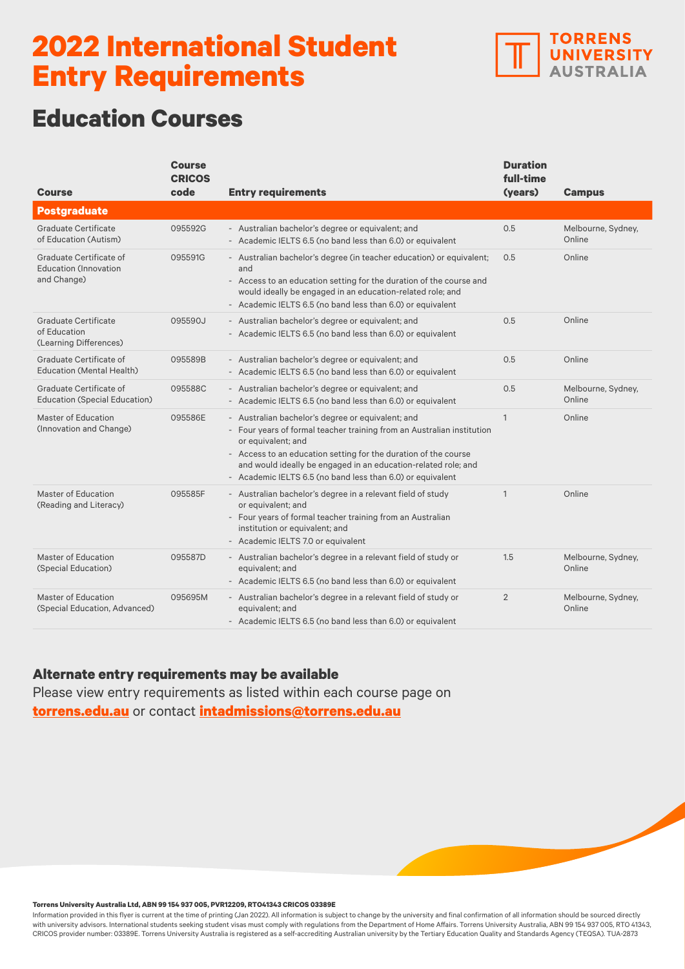

## **Education Courses**

| <b>Course</b>                                                           | <b>Course</b><br><b>CRICOS</b><br>code | <b>Entry requirements</b>                                                                                                                                                                                                                                                                                                                            | <b>Duration</b><br>full-time<br>(years) | <b>Campus</b>                |
|-------------------------------------------------------------------------|----------------------------------------|------------------------------------------------------------------------------------------------------------------------------------------------------------------------------------------------------------------------------------------------------------------------------------------------------------------------------------------------------|-----------------------------------------|------------------------------|
| <b>Postgraduate</b>                                                     |                                        |                                                                                                                                                                                                                                                                                                                                                      |                                         |                              |
| <b>Graduate Certificate</b><br>of Education (Autism)                    | 095592G                                | - Australian bachelor's degree or equivalent; and<br>- Academic IELTS 6.5 (no band less than 6.0) or equivalent                                                                                                                                                                                                                                      | 0.5                                     | Melbourne, Sydney,<br>Online |
| Graduate Certificate of<br><b>Education (Innovation)</b><br>and Change) | 095591G                                | - Australian bachelor's degree (in teacher education) or equivalent;<br>and<br>- Access to an education setting for the duration of the course and<br>would ideally be engaged in an education-related role; and<br>- Academic IELTS 6.5 (no band less than 6.0) or equivalent                                                                       | 0.5                                     | Online                       |
| Graduate Certificate<br>of Education<br>(Learning Differences)          | 095590J                                | - Australian bachelor's degree or equivalent; and<br>- Academic IELTS 6.5 (no band less than 6.0) or equivalent                                                                                                                                                                                                                                      | 0.5                                     | Online                       |
| Graduate Certificate of<br><b>Education (Mental Health)</b>             | 095589B                                | - Australian bachelor's degree or equivalent; and<br>- Academic IELTS 6.5 (no band less than 6.0) or equivalent                                                                                                                                                                                                                                      | 0.5                                     | Online                       |
| Graduate Certificate of<br><b>Education (Special Education)</b>         | 095588C                                | - Australian bachelor's degree or equivalent; and<br>- Academic IELTS 6.5 (no band less than 6.0) or equivalent                                                                                                                                                                                                                                      | 0.5                                     | Melbourne, Sydney,<br>Online |
| <b>Master of Education</b><br>(Innovation and Change)                   | 095586E                                | - Australian bachelor's degree or equivalent; and<br>- Four years of formal teacher training from an Australian institution<br>or equivalent; and<br>- Access to an education setting for the duration of the course<br>and would ideally be engaged in an education-related role; and<br>- Academic IELTS 6.5 (no band less than 6.0) or equivalent | $\mathbf{1}$                            | Online                       |
| Master of Education<br>(Reading and Literacy)                           | 095585F                                | - Australian bachelor's degree in a relevant field of study<br>or equivalent; and<br>- Four years of formal teacher training from an Australian<br>institution or equivalent; and<br>- Academic IELTS 7.0 or equivalent                                                                                                                              | $\mathbf{1}$                            | Online                       |
| <b>Master of Education</b><br>(Special Education)                       | 095587D                                | - Australian bachelor's degree in a relevant field of study or<br>equivalent; and<br>- Academic IELTS 6.5 (no band less than 6.0) or equivalent                                                                                                                                                                                                      | 1.5                                     | Melbourne, Sydney,<br>Online |
| <b>Master of Education</b><br>(Special Education, Advanced)             | 095695M                                | - Australian bachelor's degree in a relevant field of study or<br>equivalent; and<br>- Academic IELTS 6.5 (no band less than 6.0) or equivalent                                                                                                                                                                                                      | $\overline{2}$                          | Melbourne, Sydney,<br>Online |

#### **Alternate entry requirements may be available**

Please view entry requirements as listed within each course page on **[torrens.edu.au](https://www.torrens.edu.au/)** or contact **[intadmissions@torrens.edu.au](mailto:intadmissions%40torrens.edu.au?subject=)**

#### **Torrens University Australia Ltd, ABN 99 154 937 005, PVR12209, RTO41343 CRICOS 03389E**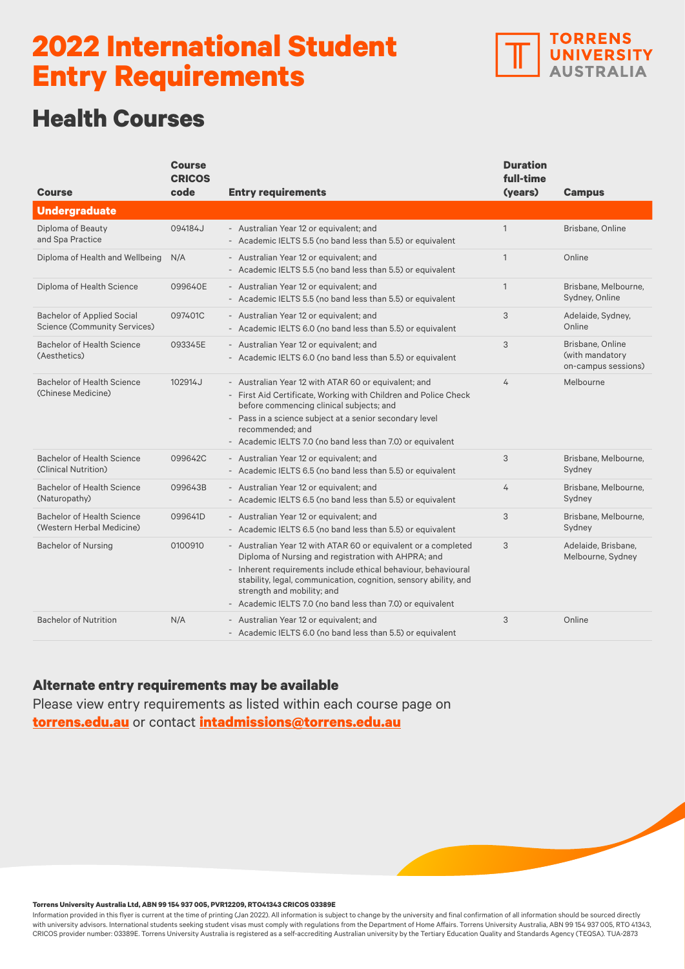

## **Health Courses**

| <b>Course</b>                                                            | <b>Course</b><br><b>CRICOS</b><br>code | <b>Entry requirements</b>                                                                                                                                                                                                                                                                                                                               | <b>Duration</b><br>full-time<br>(years) | <b>Campus</b>                                              |
|--------------------------------------------------------------------------|----------------------------------------|---------------------------------------------------------------------------------------------------------------------------------------------------------------------------------------------------------------------------------------------------------------------------------------------------------------------------------------------------------|-----------------------------------------|------------------------------------------------------------|
| <b>Undergraduate</b>                                                     |                                        |                                                                                                                                                                                                                                                                                                                                                         |                                         |                                                            |
| Diploma of Beauty<br>and Spa Practice                                    | 094184J                                | - Australian Year 12 or equivalent; and<br>- Academic IELTS 5.5 (no band less than 5.5) or equivalent                                                                                                                                                                                                                                                   | $\mathbf{1}$                            | Brisbane, Online                                           |
| Diploma of Health and Wellbeing                                          | N/A                                    | - Australian Year 12 or equivalent; and<br>- Academic IELTS 5.5 (no band less than 5.5) or equivalent                                                                                                                                                                                                                                                   | $\mathbf{1}$                            | Online                                                     |
| Diploma of Health Science                                                | 099640E                                | - Australian Year 12 or equivalent; and<br>- Academic IELTS 5.5 (no band less than 5.5) or equivalent                                                                                                                                                                                                                                                   | $\mathbf{1}$                            | Brisbane, Melbourne,<br>Sydney, Online                     |
| <b>Bachelor of Applied Social</b><br><b>Science (Community Services)</b> | 097401C                                | - Australian Year 12 or equivalent; and<br>- Academic IELTS 6.0 (no band less than 5.5) or equivalent                                                                                                                                                                                                                                                   | 3                                       | Adelaide, Sydney,<br>Online                                |
| Bachelor of Health Science<br>(Aesthetics)                               | 093345E                                | - Australian Year 12 or equivalent; and<br>- Academic IELTS 6.0 (no band less than 5.5) or equivalent                                                                                                                                                                                                                                                   | 3                                       | Brisbane, Online<br>(with mandatory<br>on-campus sessions) |
| Bachelor of Health Science<br>(Chinese Medicine)                         | 102914J                                | - Australian Year 12 with ATAR 60 or equivalent; and<br>- First Aid Certificate, Working with Children and Police Check<br>before commencing clinical subjects; and<br>- Pass in a science subject at a senior secondary level<br>recommended; and<br>- Academic IELTS 7.0 (no band less than 7.0) or equivalent                                        | 4                                       | Melbourne                                                  |
| <b>Bachelor of Health Science</b><br>(Clinical Nutrition)                | 099642C                                | - Australian Year 12 or equivalent; and<br>- Academic IELTS 6.5 (no band less than 5.5) or equivalent                                                                                                                                                                                                                                                   | 3                                       | Brisbane, Melbourne,<br>Sydney                             |
| <b>Bachelor of Health Science</b><br>(Naturopathy)                       | 099643B                                | - Australian Year 12 or equivalent; and<br>- Academic IELTS 6.5 (no band less than 5.5) or equivalent                                                                                                                                                                                                                                                   | 4                                       | Brisbane, Melbourne,<br>Sydney                             |
| <b>Bachelor of Health Science</b><br>(Western Herbal Medicine)           | 099641D                                | - Australian Year 12 or equivalent; and<br>- Academic IELTS 6.5 (no band less than 5.5) or equivalent                                                                                                                                                                                                                                                   | 3                                       | Brisbane, Melbourne,<br>Sydney                             |
| <b>Bachelor of Nursing</b>                                               | 0100910                                | - Australian Year 12 with ATAR 60 or equivalent or a completed<br>Diploma of Nursing and registration with AHPRA; and<br>- Inherent requirements include ethical behaviour, behavioural<br>stability, legal, communication, cognition, sensory ability, and<br>strength and mobility; and<br>- Academic IELTS 7.0 (no band less than 7.0) or equivalent | 3                                       | Adelaide, Brisbane,<br>Melbourne, Sydney                   |
| <b>Bachelor of Nutrition</b>                                             | N/A                                    | - Australian Year 12 or equivalent; and<br>- Academic IELTS 6.0 (no band less than 5.5) or equivalent                                                                                                                                                                                                                                                   | 3                                       | Online                                                     |

### **Alternate entry requirements may be available**

Please view entry requirements as listed within each course page on **[torrens.edu.au](https://www.torrens.edu.au/)** or contact **[intadmissions@torrens.edu.au](mailto:intadmissions%40torrens.edu.au?subject=)**

#### **Torrens University Australia Ltd, ABN 99 154 937 005, PVR12209, RTO41343 CRICOS 03389E**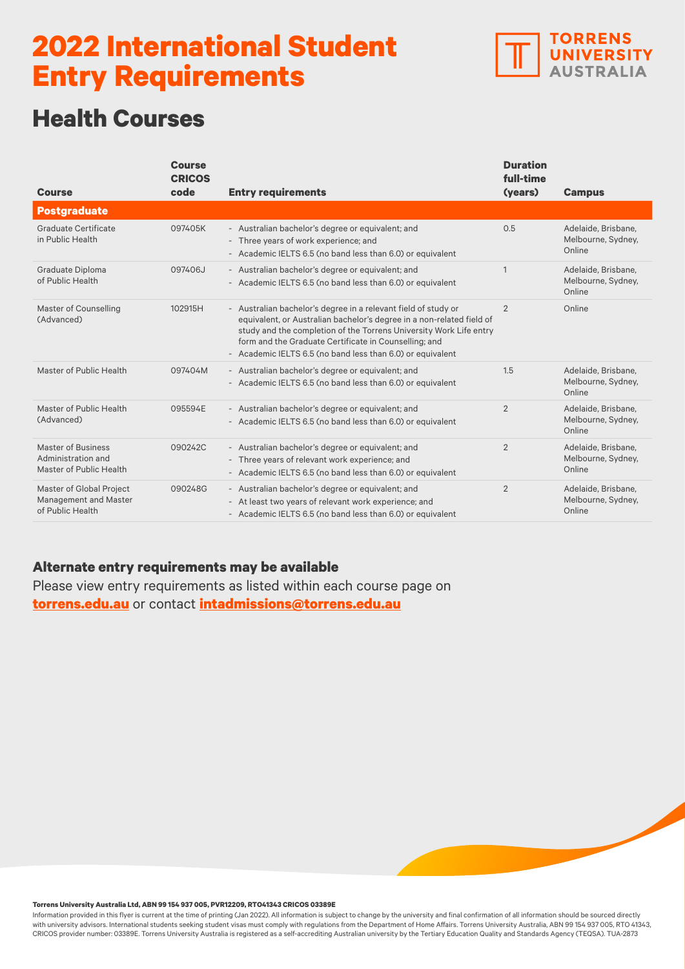

## **Health Courses**

| <b>Course</b>                                                         | <b>Course</b><br><b>CRICOS</b><br>code | <b>Entry requirements</b>                                                                                                                                                                                                                                                                                                            | <b>Duration</b><br>full-time<br>(years) | <b>Campus</b>                                       |
|-----------------------------------------------------------------------|----------------------------------------|--------------------------------------------------------------------------------------------------------------------------------------------------------------------------------------------------------------------------------------------------------------------------------------------------------------------------------------|-----------------------------------------|-----------------------------------------------------|
| <b>Postgraduate</b>                                                   |                                        |                                                                                                                                                                                                                                                                                                                                      |                                         |                                                     |
| Graduate Certificate<br>in Public Health                              | 097405K                                | - Australian bachelor's degree or equivalent; and<br>- Three years of work experience; and<br>- Academic IELTS 6.5 (no band less than 6.0) or equivalent                                                                                                                                                                             | 0.5                                     | Adelaide, Brisbane,<br>Melbourne, Sydney,<br>Online |
| Graduate Diploma<br>of Public Health                                  | 097406J                                | - Australian bachelor's degree or equivalent; and<br>- Academic IELTS 6.5 (no band less than 6.0) or equivalent                                                                                                                                                                                                                      | 1                                       | Adelaide, Brisbane,<br>Melbourne, Sydney,<br>Online |
| Master of Counselling<br>(Advanced)                                   | 102915H                                | - Australian bachelor's degree in a relevant field of study or<br>equivalent, or Australian bachelor's degree in a non-related field of<br>study and the completion of the Torrens University Work Life entry<br>form and the Graduate Certificate in Counselling; and<br>- Academic IELTS 6.5 (no band less than 6.0) or equivalent | $\overline{2}$                          | Online                                              |
| Master of Public Health                                               | 097404M                                | - Australian bachelor's degree or equivalent; and<br>- Academic IELTS 6.5 (no band less than 6.0) or equivalent                                                                                                                                                                                                                      | 1.5                                     | Adelaide, Brisbane,<br>Melbourne, Sydney,<br>Online |
| Master of Public Health<br>(Advanced)                                 | 095594E                                | - Australian bachelor's degree or equivalent; and<br>- Academic IELTS 6.5 (no band less than 6.0) or equivalent                                                                                                                                                                                                                      | 2                                       | Adelaide, Brisbane,<br>Melbourne, Sydney,<br>Online |
| Master of Business<br>Administration and<br>Master of Public Health   | 090242C                                | - Australian bachelor's degree or equivalent; and<br>- Three years of relevant work experience; and<br>- Academic IELTS 6.5 (no band less than 6.0) or equivalent                                                                                                                                                                    | 2                                       | Adelaide, Brisbane,<br>Melbourne, Sydney,<br>Online |
| Master of Global Project<br>Management and Master<br>of Public Health | 090248G                                | - Australian bachelor's degree or equivalent; and<br>- At least two years of relevant work experience; and<br>- Academic IELTS 6.5 (no band less than 6.0) or equivalent                                                                                                                                                             | $\overline{2}$                          | Adelaide, Brisbane,<br>Melbourne, Sydney,<br>Online |

### **Alternate entry requirements may be available**

Please view entry requirements as listed within each course page on **[torrens.edu.au](https://www.torrens.edu.au/)** or contact **[intadmissions@torrens.edu.au](mailto:intadmissions%40torrens.edu.au?subject=)**

#### **Torrens University Australia Ltd, ABN 99 154 937 005, PVR12209, RTO41343 CRICOS 03389E**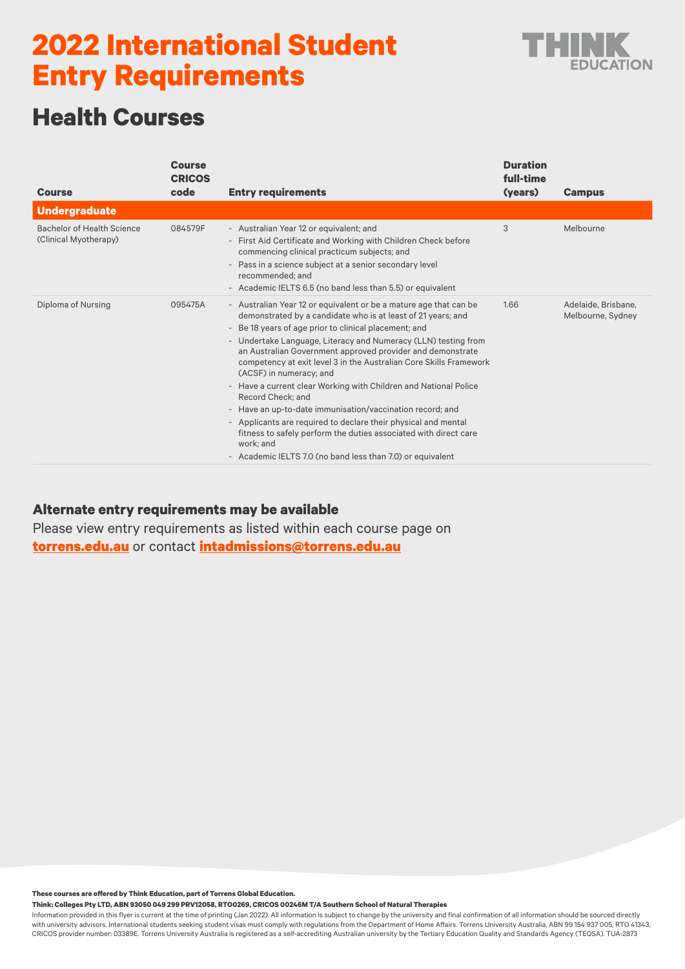

## **Health Courses**

|                                                     | <b>Course</b><br><b>CRICOS</b> |                                                                                                                                                                                                                                                                                                                                                                                                                                                                                                                                                                                                                                                                                                                                                                                                    | <b>Duration</b><br>full-time |                                          |
|-----------------------------------------------------|--------------------------------|----------------------------------------------------------------------------------------------------------------------------------------------------------------------------------------------------------------------------------------------------------------------------------------------------------------------------------------------------------------------------------------------------------------------------------------------------------------------------------------------------------------------------------------------------------------------------------------------------------------------------------------------------------------------------------------------------------------------------------------------------------------------------------------------------|------------------------------|------------------------------------------|
| <b>Course</b>                                       | code                           | <b>Entry requirements</b>                                                                                                                                                                                                                                                                                                                                                                                                                                                                                                                                                                                                                                                                                                                                                                          | (years)                      | <b>Campus</b>                            |
| <b>Undergraduate</b>                                |                                |                                                                                                                                                                                                                                                                                                                                                                                                                                                                                                                                                                                                                                                                                                                                                                                                    |                              |                                          |
| Bachelor of Health Science<br>(Clinical Myotherapy) | 084579F                        | - Australian Year 12 or equivalent; and<br>- First Aid Certificate and Working with Children Check before<br>commencing clinical practicum subjects; and<br>- Pass in a science subject at a senior secondary level<br>recommended; and<br>- Academic IELTS 6.5 (no band less than 5.5) or equivalent                                                                                                                                                                                                                                                                                                                                                                                                                                                                                              | 3                            | Melbourne                                |
| Diploma of Nursing                                  | 095475A                        | - Australian Year 12 or equivalent or be a mature age that can be<br>demonstrated by a candidate who is at least of 21 years; and<br>- Be 18 years of age prior to clinical placement; and<br>- Undertake Language, Literacy and Numeracy (LLN) testing from<br>an Australian Government approved provider and demonstrate<br>competency at exit level 3 in the Australian Core Skills Framework<br>(ACSF) in numeracy; and<br>- Have a current clear Working with Children and National Police<br>Record Check: and<br>- Have an up-to-date immunisation/vaccination record; and<br>- Applicants are required to declare their physical and mental<br>fitness to safely perform the duties associated with direct care<br>work: and<br>- Academic IELTS 7.0 (no band less than 7.0) or equivalent | 1.66                         | Adelaide, Brisbane,<br>Melbourne, Sydney |

### **Alternate entry requirements may be available**

Please view entry requirements as listed within each course page on **[torrens.edu.au](https://www.torrens.edu.au/)** or contact **[intadmissions@torrens.edu.au](mailto:intadmissions%40torrens.edu.au?subject=)**

**These courses are offered by Think Education, part of Torrens Global Education.** 

**Think: Colleges Pty LTD, ABN 93050 049 299 PRV12058, RTO0269, CRICOS 00246M T/A Southern School of Natural Therapies**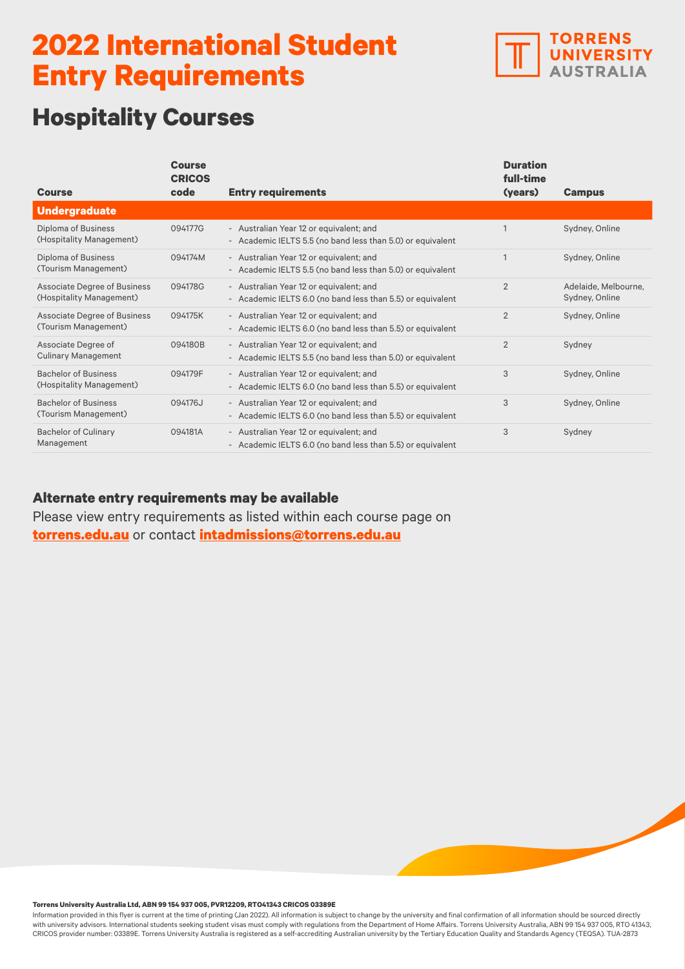

## **Hospitality Courses**

|                                                          | <b>Course</b><br><b>CRICOS</b> |                                                                                                       | <b>Duration</b><br>full-time |                                        |
|----------------------------------------------------------|--------------------------------|-------------------------------------------------------------------------------------------------------|------------------------------|----------------------------------------|
| <b>Course</b>                                            | code                           | <b>Entry requirements</b>                                                                             | (years)                      | <b>Campus</b>                          |
| <b>Undergraduate</b>                                     |                                |                                                                                                       |                              |                                        |
| Diploma of Business<br>(Hospitality Management)          | 094177G                        | - Australian Year 12 or equivalent; and<br>- Academic IELTS 5.5 (no band less than 5.0) or equivalent |                              | Sydney, Online                         |
| Diploma of Business<br>(Tourism Management)              | 094174M                        | - Australian Year 12 or equivalent; and<br>- Academic IELTS 5.5 (no band less than 5.0) or equivalent |                              | Sydney, Online                         |
| Associate Degree of Business<br>(Hospitality Management) | 094178G                        | - Australian Year 12 or equivalent; and<br>- Academic IELTS 6.0 (no band less than 5.5) or equivalent | $\overline{2}$               | Adelaide, Melbourne,<br>Sydney, Online |
| Associate Degree of Business<br>(Tourism Management)     | 094175K                        | - Australian Year 12 or equivalent; and<br>- Academic IELTS 6.0 (no band less than 5.5) or equivalent | $\overline{2}$               | Sydney, Online                         |
| Associate Degree of<br><b>Culinary Management</b>        | 094180B                        | - Australian Year 12 or equivalent; and<br>- Academic IELTS 5.5 (no band less than 5.0) or equivalent | $\overline{2}$               | Sydney                                 |
| <b>Bachelor of Business</b><br>(Hospitality Management)  | 094179F                        | - Australian Year 12 or equivalent; and<br>- Academic IELTS 6.0 (no band less than 5.5) or equivalent | 3                            | Sydney, Online                         |
| <b>Bachelor of Business</b><br>(Tourism Management)      | 094176J                        | - Australian Year 12 or equivalent; and<br>- Academic IELTS 6.0 (no band less than 5.5) or equivalent | 3                            | Sydney, Online                         |
| <b>Bachelor of Culinary</b><br>Management                | 094181A                        | - Australian Year 12 or equivalent; and<br>- Academic IELTS 6.0 (no band less than 5.5) or equivalent | 3                            | Sydney                                 |

### **Alternate entry requirements may be available**

Please view entry requirements as listed within each course page on **[torrens.edu.au](https://www.torrens.edu.au/)** or contact **[intadmissions@torrens.edu.au](mailto:intadmissions%40torrens.edu.au?subject=)**

**Torrens University Australia Ltd, ABN 99 154 937 005, PVR12209, RTO41343 CRICOS 03389E**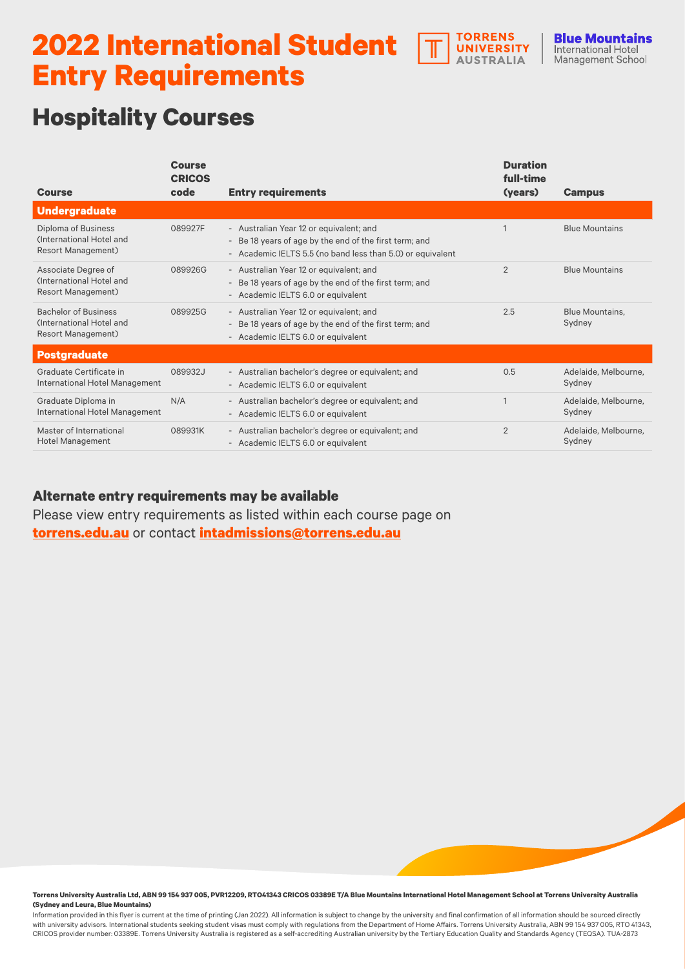

## **Hospitality Courses**

|                                                                                      | <b>Course</b><br><b>CRICOS</b> |                                                                                                                                                                 | <b>Duration</b><br>full-time |                                  |
|--------------------------------------------------------------------------------------|--------------------------------|-----------------------------------------------------------------------------------------------------------------------------------------------------------------|------------------------------|----------------------------------|
| <b>Course</b>                                                                        | code                           | <b>Entry requirements</b>                                                                                                                                       | (years)                      | <b>Campus</b>                    |
| <b>Undergraduate</b>                                                                 |                                |                                                                                                                                                                 |                              |                                  |
| Diploma of Business<br>(International Hotel and<br><b>Resort Management)</b>         | 089927F                        | - Australian Year 12 or equivalent; and<br>- Be 18 years of age by the end of the first term; and<br>- Academic IELTS 5.5 (no band less than 5.0) or equivalent |                              | <b>Blue Mountains</b>            |
| Associate Degree of<br>(International Hotel and<br><b>Resort Management)</b>         | 089926G                        | - Australian Year 12 or equivalent; and<br>- Be 18 years of age by the end of the first term; and<br>- Academic IELTS 6.0 or equivalent                         | $\overline{2}$               | <b>Blue Mountains</b>            |
| <b>Bachelor of Business</b><br>(International Hotel and<br><b>Resort Management)</b> | 089925G                        | - Australian Year 12 or equivalent; and<br>- Be 18 years of age by the end of the first term; and<br>- Academic IELTS 6.0 or equivalent                         | 2.5                          | <b>Blue Mountains,</b><br>Sydney |
| <b>Postgraduate</b>                                                                  |                                |                                                                                                                                                                 |                              |                                  |
| Graduate Certificate in<br>International Hotel Management                            | 089932J                        | - Australian bachelor's degree or equivalent; and<br>- Academic IELTS 6.0 or equivalent                                                                         | 0.5                          | Adelaide, Melbourne,<br>Sydney   |
| Graduate Diploma in<br>International Hotel Management                                | N/A                            | - Australian bachelor's degree or equivalent; and<br>- Academic IELTS 6.0 or equivalent                                                                         |                              | Adelaide, Melbourne,<br>Sydney   |
| Master of International<br><b>Hotel Management</b>                                   | 089931K                        | - Australian bachelor's degree or equivalent; and<br>- Academic IELTS 6.0 or equivalent                                                                         | $\overline{2}$               | Adelaide, Melbourne,<br>Sydney   |

### **Alternate entry requirements may be available**

Please view entry requirements as listed within each course page on **[torrens.edu.au](https://www.torrens.edu.au/)** or contact **[intadmissions@torrens.edu.au](mailto:intadmissions%40torrens.edu.au?subject=)**

**Torrens University Australia Ltd, ABN 99 154 937 005, PVR12209, RTO41343 CRICOS 03389E T/A Blue Mountains International Hotel Management School at Torrens University Australia (Sydney and Leura, Blue Mountains)**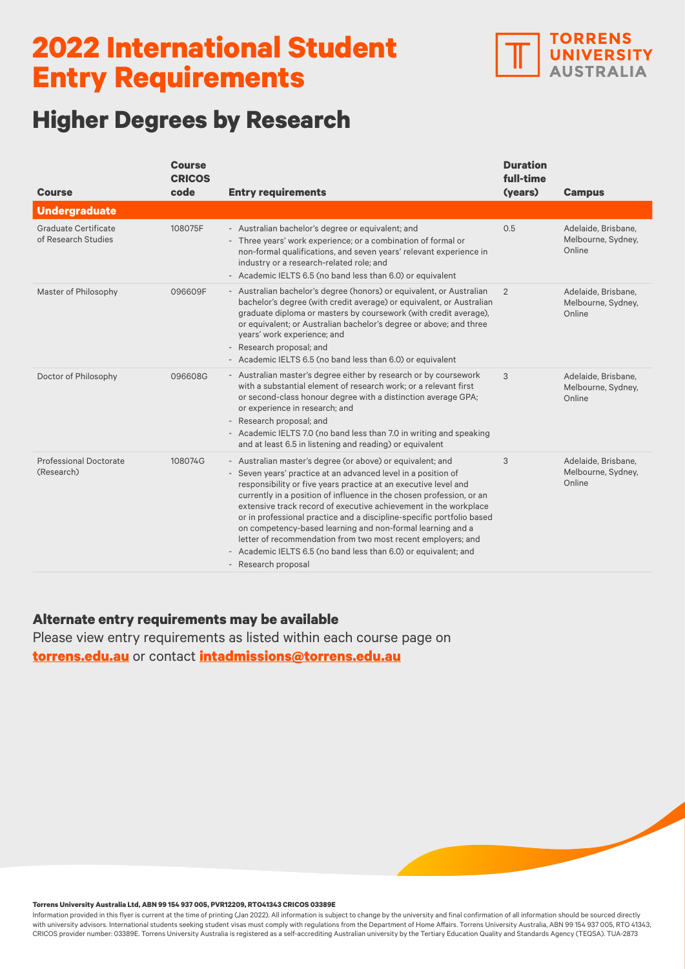

# **Higher Degrees by Research**

| <b>Course</b>                               | <b>Course</b><br><b>CRICOS</b><br>code | <b>Entry requirements</b>                                                                                                                                                                                                                                                                                                                                                                                                                                                                                                                                                                                                                   | <b>Duration</b><br>full-time<br>(years) | <b>Campus</b>                                       |
|---------------------------------------------|----------------------------------------|---------------------------------------------------------------------------------------------------------------------------------------------------------------------------------------------------------------------------------------------------------------------------------------------------------------------------------------------------------------------------------------------------------------------------------------------------------------------------------------------------------------------------------------------------------------------------------------------------------------------------------------------|-----------------------------------------|-----------------------------------------------------|
| <b>Undergraduate</b>                        |                                        |                                                                                                                                                                                                                                                                                                                                                                                                                                                                                                                                                                                                                                             |                                         |                                                     |
| Graduate Certificate<br>of Research Studies | 108075F                                | - Australian bachelor's degree or equivalent; and<br>- Three years' work experience; or a combination of formal or<br>non-formal qualifications, and seven years' relevant experience in<br>industry or a research-related role; and<br>- Academic IELTS 6.5 (no band less than 6.0) or equivalent                                                                                                                                                                                                                                                                                                                                          | 0.5                                     | Adelaide, Brisbane,<br>Melbourne, Sydney,<br>Online |
| Master of Philosophy                        | 096609F                                | - Australian bachelor's degree (honors) or equivalent, or Australian<br>bachelor's degree (with credit average) or equivalent, or Australian<br>graduate diploma or masters by coursework (with credit average),<br>or equivalent; or Australian bachelor's degree or above; and three<br>years' work experience; and<br>- Research proposal; and<br>- Academic IELTS 6.5 (no band less than 6.0) or equivalent                                                                                                                                                                                                                             | 2                                       | Adelaide, Brisbane,<br>Melbourne, Sydney,<br>Online |
| Doctor of Philosophy                        | 096608G                                | - Australian master's degree either by research or by coursework<br>with a substantial element of research work: or a relevant first<br>or second-class honour degree with a distinction average GPA;<br>or experience in research; and<br>- Research proposal; and<br>- Academic IELTS 7.0 (no band less than 7.0 in writing and speaking<br>and at least 6.5 in listening and reading) or equivalent                                                                                                                                                                                                                                      | 3                                       | Adelaide, Brisbane,<br>Melbourne, Sydney,<br>Online |
| <b>Professional Doctorate</b><br>(Research) | 108074G                                | - Australian master's degree (or above) or equivalent; and<br>- Seven years' practice at an advanced level in a position of<br>responsibility or five years practice at an executive level and<br>currently in a position of influence in the chosen profession, or an<br>extensive track record of executive achievement in the workplace<br>or in professional practice and a discipline-specific portfolio based<br>on competency-based learning and non-formal learning and a<br>letter of recommendation from two most recent employers; and<br>- Academic IELTS 6.5 (no band less than 6.0) or equivalent; and<br>- Research proposal | 3                                       | Adelaide, Brisbane,<br>Melbourne, Sydney,<br>Online |

### **Alternate entry requirements may be available**

Please view entry requirements as listed within each course page on **[torrens.edu.au](https://www.torrens.edu.au/)** or contact **[intadmissions@torrens.edu.au](mailto:intadmissions%40torrens.edu.au?subject=)**

#### **Torrens University Australia Ltd, ABN 99 154 937 005, PVR12209, RTO41343 CRICOS 03389E**